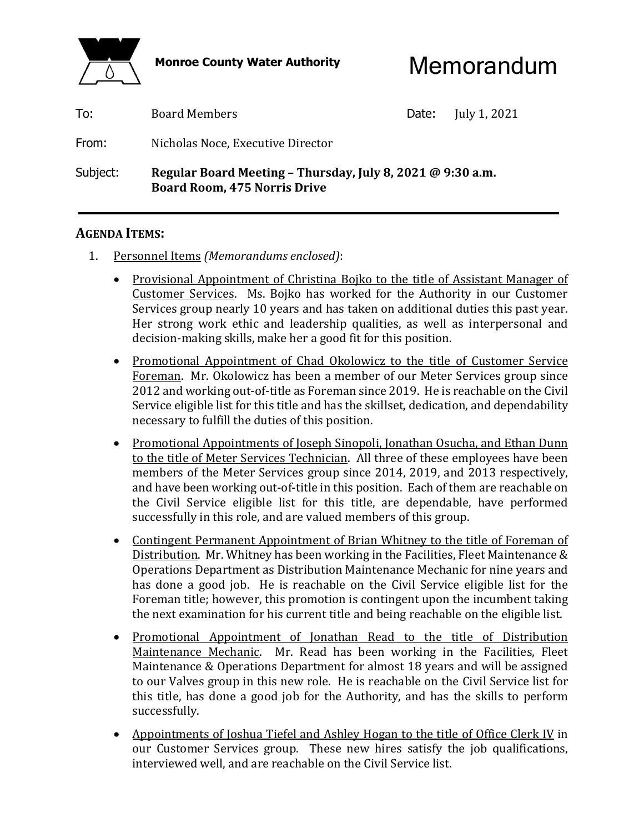

Monroe County Water Authority **Memorandum** 

| To:<br>From: | <b>Board Members</b><br>Nicholas Noce, Executive Director                                         | Date: | July 1, 2021 |
|--------------|---------------------------------------------------------------------------------------------------|-------|--------------|
| Subject:     | Regular Board Meeting - Thursday, July 8, 2021 @ 9:30 a.m.<br><b>Board Room, 475 Norris Drive</b> |       |              |

## **AGENDA ITEMS:**

- 1. Personnel Items *(Memorandums enclosed)*:
	- Provisional Appointment of Christina Bojko to the title of Assistant Manager of Customer Services. Ms. Bojko has worked for the Authority in our Customer Services group nearly 10 years and has taken on additional duties this past year. Her strong work ethic and leadership qualities, as well as interpersonal and decision-making skills, make her a good fit for this position.
	- Promotional Appointment of Chad Okolowicz to the title of Customer Service Foreman. Mr. Okolowicz has been a member of our Meter Services group since 2012 and working out-of-title as Foreman since 2019. He is reachable on the Civil Service eligible list for this title and has the skillset, dedication, and dependability necessary to fulfill the duties of this position.
	- Promotional Appointments of Joseph Sinopoli, Jonathan Osucha, and Ethan Dunn to the title of Meter Services Technician. All three of these employees have been members of the Meter Services group since 2014, 2019, and 2013 respectively, and have been working out-of-title in this position. Each of them are reachable on the Civil Service eligible list for this title, are dependable, have performed successfully in this role, and are valued members of this group.
	- Contingent Permanent Appointment of Brian Whitney to the title of Foreman of Distribution. Mr. Whitney has been working in the Facilities, Fleet Maintenance & Operations Department as Distribution Maintenance Mechanic for nine years and has done a good job. He is reachable on the Civil Service eligible list for the Foreman title; however, this promotion is contingent upon the incumbent taking the next examination for his current title and being reachable on the eligible list.
	- Promotional Appointment of Jonathan Read to the title of Distribution Maintenance Mechanic. Mr. Read has been working in the Facilities, Fleet Maintenance & Operations Department for almost 18 years and will be assigned to our Valves group in this new role. He is reachable on the Civil Service list for this title, has done a good job for the Authority, and has the skills to perform successfully.
	- Appointments of Joshua Tiefel and Ashley Hogan to the title of Office Clerk IV in our Customer Services group. These new hires satisfy the job qualifications, interviewed well, and are reachable on the Civil Service list.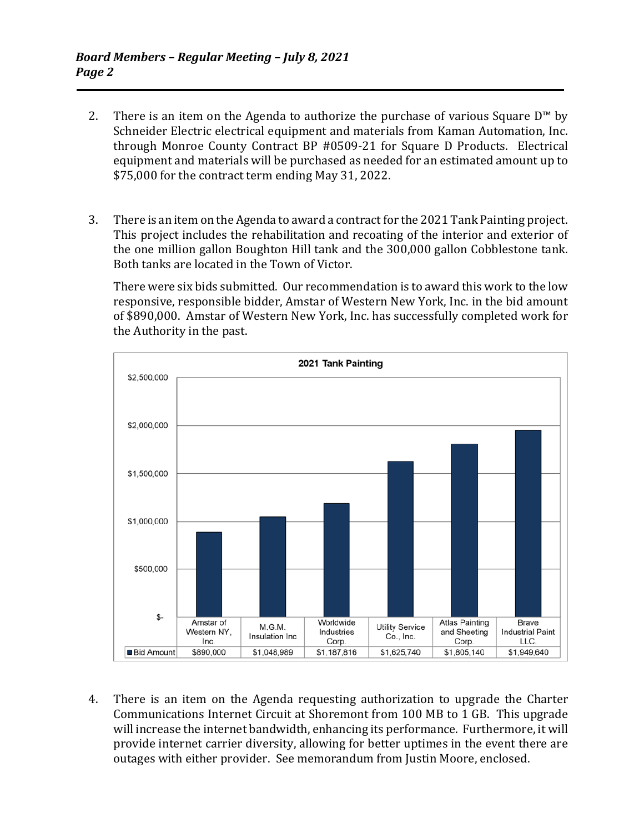- 2. There is an item on the Agenda to authorize the purchase of various Square  $D^{\mathsf{m}}$  by Schneider Electric electrical equipment and materials from Kaman Automation, Inc. through Monroe County Contract BP #0509-21 for Square D Products. Electrical equipment and materials will be purchased as needed for an estimated amount up to \$75,000 for the contract term ending May 31, 2022.
- 3. There is an item on the Agenda to award a contract for the 2021 Tank Painting project. This project includes the rehabilitation and recoating of the interior and exterior of the one million gallon Boughton Hill tank and the 300,000 gallon Cobblestone tank. Both tanks are located in the Town of Victor.

 There were six bids submitted. Our recommendation is to award this work to the low responsive, responsible bidder, Amstar of Western New York, Inc. in the bid amount of \$890,000. Amstar of Western New York, Inc. has successfully completed work for the Authority in the past.



 4. There is an item on the Agenda requesting authorization to upgrade the Charter Communications Internet Circuit at Shoremont from 100 MB to 1 GB. This upgrade will increase the internet bandwidth, enhancing its performance. Furthermore, it will provide internet carrier diversity, allowing for better uptimes in the event there are outages with either provider. See memorandum from Justin Moore, enclosed.